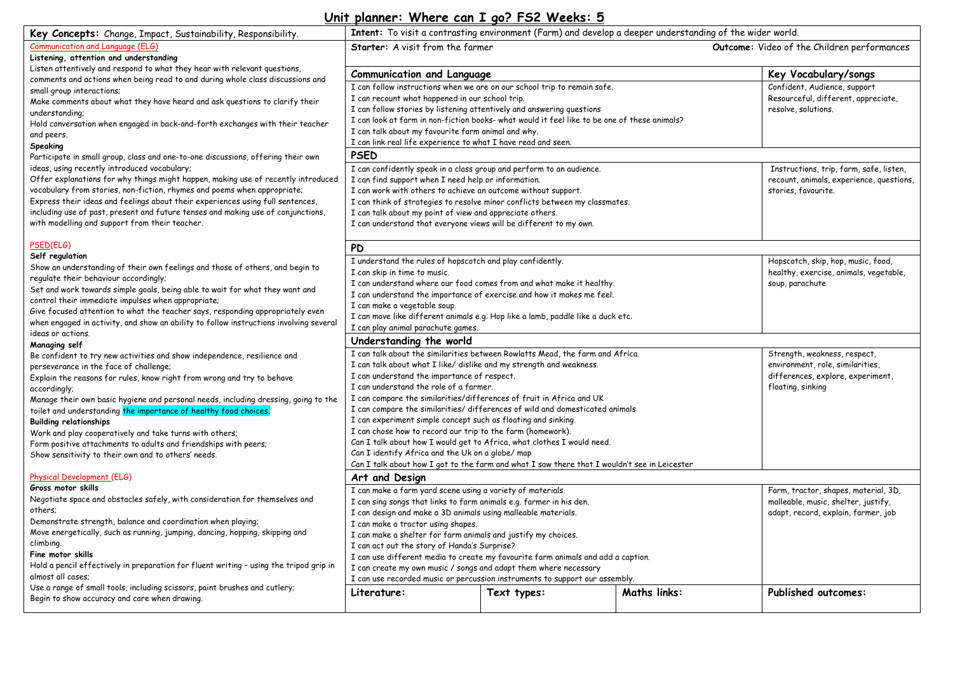## **Unit planner: Where can I go? FS2 Weeks: 5**

| Key Concepts: Change, Impact, Sustainability, Responsibility.                                                         | Intent: To visit a contrasting environment (Farm) and develop a deeper understanding of the wider world.                                          |                                                                                              |                      |                                             |  |  |
|-----------------------------------------------------------------------------------------------------------------------|---------------------------------------------------------------------------------------------------------------------------------------------------|----------------------------------------------------------------------------------------------|----------------------|---------------------------------------------|--|--|
| Communication and Language (ELG)                                                                                      | <b>Starter:</b> A visit from the farmer                                                                                                           |                                                                                              |                      | Outcome: Video of the Children performances |  |  |
| Listening, attention and understanding                                                                                |                                                                                                                                                   |                                                                                              |                      |                                             |  |  |
| Listen attentively and respond to what they hear with relevant questions,                                             | <b>Communication and Language</b>                                                                                                                 |                                                                                              | Key Vocabulary/songs |                                             |  |  |
| comments and actions when being read to and during whole class discussions and                                        | I can follow instructions when we are on our school trip to remain safe.                                                                          |                                                                                              |                      | Confident, Audience, support                |  |  |
| small group interactions;                                                                                             | I can recount what happened in our school trip.                                                                                                   |                                                                                              |                      | Resourceful, different, appreciate,         |  |  |
| Make comments about what they have heard and ask questions to clarify their                                           | I can follow stories by listening attentively and answering questions                                                                             |                                                                                              |                      | resolve, solutions.                         |  |  |
| understanding;<br>Hold conversation when engaged in back-and-forth exchanges with their teacher                       |                                                                                                                                                   | I can look at farm in non-fiction books- what would it feel like to be one of these animals? |                      |                                             |  |  |
|                                                                                                                       | I can talk about my favourite farm animal and why.                                                                                                |                                                                                              |                      |                                             |  |  |
| and peers.<br>Speaking                                                                                                | I can link real life experience to what I have read and seen.                                                                                     |                                                                                              |                      |                                             |  |  |
| Participate in small group, class and one-to-one discussions, offering their own                                      | <b>PSED</b>                                                                                                                                       |                                                                                              |                      |                                             |  |  |
| ideas, using recently introduced vocabulary;                                                                          | I can confidently speak in a class group and perform to an audience.                                                                              | Instructions, trip, farm, safe, listen,                                                      |                      |                                             |  |  |
| Offer explanations for why things might happen, making use of recently introduced                                     | I can find support when I need help or information.                                                                                               |                                                                                              |                      | recount, animals, experience, questions,    |  |  |
| vocabulary from stories, non-fiction, rhymes and poems when appropriate;                                              | I can work with others to achieve an outcome without support.                                                                                     |                                                                                              |                      | stories, favourite.                         |  |  |
| Express their ideas and feelings about their experiences using full sentences,                                        | I can think of strategies to resolve minor conflicts between my classmates.                                                                       |                                                                                              |                      |                                             |  |  |
| including use of past, present and future tenses and making use of conjunctions,                                      | I can talk about my point of view and appreciate others.                                                                                          |                                                                                              |                      |                                             |  |  |
| with modelling and support from their teacher.                                                                        | I can understand that everyone views will be different to my own.                                                                                 |                                                                                              |                      |                                             |  |  |
|                                                                                                                       |                                                                                                                                                   |                                                                                              |                      |                                             |  |  |
| PSED(ELG)                                                                                                             | <b>PD</b>                                                                                                                                         |                                                                                              |                      |                                             |  |  |
| Self regulation                                                                                                       | I understand the rules of hopscotch and play confidently.                                                                                         | Hopscotch, skip, hop, music, food,                                                           |                      |                                             |  |  |
| Show an understanding of their own feelings and those of others, and begin to                                         | I can skip in time to music.                                                                                                                      |                                                                                              |                      | healthy, exercise, animals, vegetable,      |  |  |
| regulate their behaviour accordingly;<br>Set and work towards simple goals, being able to wait for what they want and | I can understand where our food comes from and what make it healthy.                                                                              | soup, parachute                                                                              |                      |                                             |  |  |
| control their immediate impulses when appropriate;                                                                    | I can understand the importance of exercise and how it makes me feel.                                                                             |                                                                                              |                      |                                             |  |  |
| Give focused attention to what the teacher says, responding appropriately even                                        | I can make a vegetable soup.                                                                                                                      |                                                                                              |                      |                                             |  |  |
| when engaged in activity, and show an ability to follow instructions involving several                                | I can move like different animals e.g. Hop like a lamb, paddle like a duck etc.                                                                   |                                                                                              |                      |                                             |  |  |
| ideas or actions.                                                                                                     | I can play animal parachute games.                                                                                                                |                                                                                              |                      |                                             |  |  |
| Managing self                                                                                                         | Understanding the world                                                                                                                           |                                                                                              |                      |                                             |  |  |
| Be confident to try new activities and show independence, resilience and                                              | I can talk about the similarities between Rowlatts Mead, the farm and Africa.<br>Strength, weakness, respect,                                     |                                                                                              |                      |                                             |  |  |
| perseverance in the face of challenge;                                                                                | I can talk about what I like/ dislike and my strength and weakness.                                                                               |                                                                                              |                      | environment, role, similarities,            |  |  |
| Explain the reasons for rules, know right from wrong and try to behave                                                | I can understand the importance of respect.                                                                                                       |                                                                                              |                      | differences, explore, experiment,           |  |  |
| accordingly;                                                                                                          | I can understand the role of a farmer.                                                                                                            |                                                                                              |                      | floating, sinking                           |  |  |
| Manage their own basic hygiene and personal needs, including dressing, going to the                                   | I can compare the similarities/differences of fruit in Africa and UK                                                                              |                                                                                              |                      |                                             |  |  |
| toilet and understanding the importance of healthy food choices.                                                      | I can compare the similarities/ differences of wild and domesticated animals                                                                      |                                                                                              |                      |                                             |  |  |
| <b>Building relationships</b>                                                                                         | I can experiment simple concept such as floating and sinking.                                                                                     |                                                                                              |                      |                                             |  |  |
| Work and play cooperatively and take turns with others;                                                               | I can chose how to record our trip to the farm (homework).                                                                                        |                                                                                              |                      |                                             |  |  |
| Form positive attachments to adults and friendships with peers;                                                       | Can I talk about how I would get to Africa, what clothes I would need.                                                                            |                                                                                              |                      |                                             |  |  |
| Show sensitivity to their own and to others' needs.                                                                   | Can I identify Africa and the Uk on a globe/ map                                                                                                  |                                                                                              |                      |                                             |  |  |
| Physical Development (ELG)                                                                                            | Can I talk about how I got to the farm and what I saw there that I wouldn't see in Leicester                                                      |                                                                                              |                      |                                             |  |  |
| Gross motor skills                                                                                                    | Art and Design<br>I can make a farm yard scene using a variety of materials.                                                                      |                                                                                              |                      |                                             |  |  |
| Negotiate space and obstacles safely, with consideration for themselves and                                           |                                                                                                                                                   | Farm, tractor, shapes, material, 3D,                                                         |                      |                                             |  |  |
| others;                                                                                                               | I can sing songs that links to farm animals e.g. farmer in his den.<br>malleable, music, shelter, justify,<br>adapt, record, explain, farmer, job |                                                                                              |                      |                                             |  |  |
| Demonstrate strength, balance and coordination when playing;                                                          | I can design and make a 3D animals using malleable materials.<br>I can make a tractor using shapes.                                               |                                                                                              |                      |                                             |  |  |
| Move energetically, such as running, jumping, dancing, hopping, skipping and                                          | I can make a shelter for farm animals and justify my choices.                                                                                     |                                                                                              |                      |                                             |  |  |
| climbing.                                                                                                             | I can act out the story of Handa's Surprise?                                                                                                      |                                                                                              |                      |                                             |  |  |
| Fine motor skills                                                                                                     | I can use different media to create my favourite farm animals and add a caption.                                                                  |                                                                                              |                      |                                             |  |  |
| Hold a pencil effectively in preparation for fluent writing - using the tripod grip in                                | I can create my own music / songs and adapt them where necessary                                                                                  |                                                                                              |                      |                                             |  |  |
| almost all cases;                                                                                                     | I can use recorded music or percussion instruments to support our assembly.                                                                       |                                                                                              |                      |                                             |  |  |
| Use a range of small tools, including scissors, paint brushes and cutlery;                                            | <b>Maths links:</b><br><b>Published outcomes:</b><br>Literature:<br>Text types:                                                                   |                                                                                              |                      |                                             |  |  |
| Begin to show accuracy and care when drawing.                                                                         |                                                                                                                                                   |                                                                                              |                      |                                             |  |  |